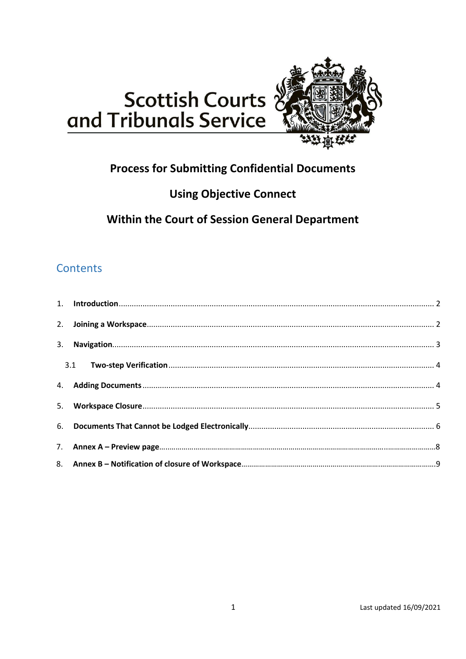



## **Process for Submitting Confidential Documents**

# **Using Objective Connect**

Within the Court of Session General Department

## **Contents**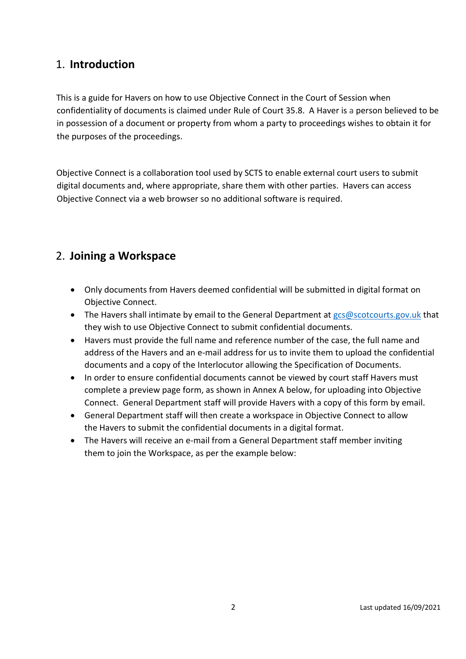#### <span id="page-1-0"></span>1. **Introduction**

This is a guide for Havers on how to use Objective Connect in the Court of Session when confidentiality of documents is claimed under Rule of Court 35.8. A Haver is a person believed to be in possession of a document or property from whom a party to proceedings wishes to obtain it for the purposes of the proceedings.

Objective Connect is a collaboration tool used by SCTS to enable external court users to submit digital documents and, where appropriate, share them with other parties. Havers can access Objective Connect via a web browser so no additional software is required.

### <span id="page-1-1"></span>2. **Joining a Workspace**

- Only documents from Havers deemed confidential will be submitted in digital format on Objective Connect.
- The Havers shall intimate by email to the General Department at [gcs@scotcourts.gov.uk](mailto:gcs@scotcourts.gov.uk) that they wish to use Objective Connect to submit confidential documents.
- Havers must provide the full name and reference number of the case, the full name and address of the Havers and an e-mail address for us to invite them to upload the confidential documents and a copy of the Interlocutor allowing the Specification of Documents.
- In order to ensure confidential documents cannot be viewed by court staff Havers must complete a preview page form, as shown in Annex A below, for uploading into Objective Connect. General Department staff will provide Havers with a copy of this form by email.
- General Department staff will then create a workspace in Objective Connect to allow the Havers to submit the confidential documents in a digital format.
- The Havers will receive an e-mail from a General Department staff member inviting them to join the Workspace, as per the example below: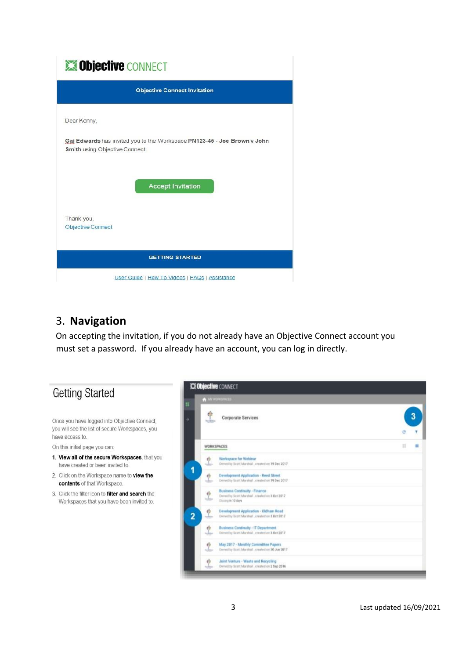# **SObjective CONNECT**

|                                        | <b>Objective Connect Invitation</b>                                      |
|----------------------------------------|--------------------------------------------------------------------------|
| Dear Kenny,                            |                                                                          |
| <b>Smith using Objective Connect.</b>  | Gai Edwards has invited you to the Workspace PN123-45 - Joe Brown v John |
|                                        | <b>Accept Invitation</b>                                                 |
| Thank you,<br><b>Objective Connect</b> |                                                                          |
|                                        | <b>GETTING STARTED</b>                                                   |
|                                        | User Guide   How To Videos   FAQs   Assistance                           |

### <span id="page-2-0"></span>3. **Navigation**

On accepting the invitation, if you do not already have an Objective Connect account you must set a password. If you already have an account, you can log in directly.

# **Getting Started**

Once you have logged into Objective Connect, you will see the list of secure Workspaces, you have access to.

On this initial page you can:

- 1. View all of the secure Workspaces, that you have created or been invited to.
- 2. Click on the Workspace name to view the contents of that Workspace.
- 3. Click the filter icon to filter and search the Workspaces that you have been invited to.

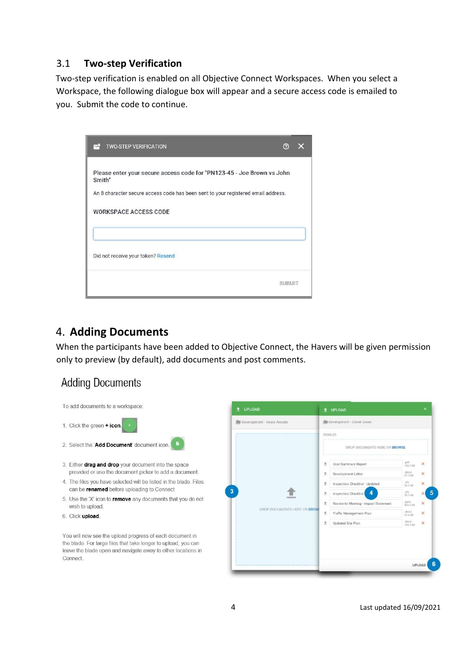#### <span id="page-3-0"></span>3.1 **Two-step Verification**

Two-step verification is enabled on all Objective Connect Workspaces. When you select a Workspace, the following dialogue box will appear and a secure access code is emailed to you. Submit the code to continue.

| <b>TWO-STEP VERIFICATION</b>                                                                                                                                                                   | (?            |  |
|------------------------------------------------------------------------------------------------------------------------------------------------------------------------------------------------|---------------|--|
| Please enter your secure access code for "PN123-45 - Joe Brown vs John<br>Smith"<br>An 8 character secure access code has been sent to your registered email address.<br>WORKSPACE ACCESS CODE |               |  |
| Did not receive your token? Resend                                                                                                                                                             |               |  |
|                                                                                                                                                                                                | <b>SUBMIT</b> |  |

#### <span id="page-3-1"></span>4. **Adding Documents**

When the participants have been added to Objective Connect, the Havers will be given permission only to preview (by default), add documents and post comments.

### **Adding Documents**



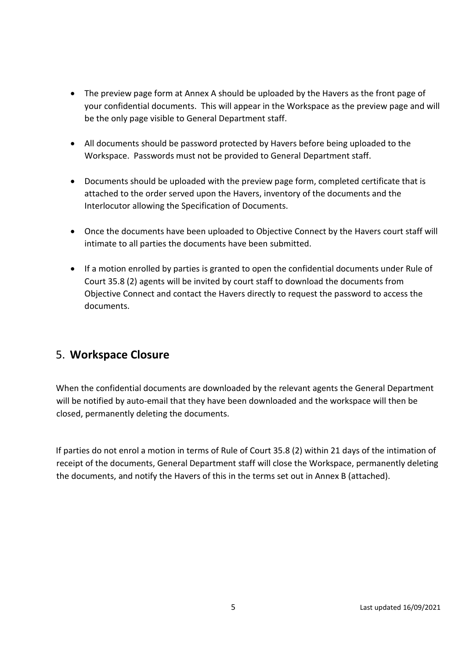- The preview page form at Annex A should be uploaded by the Havers as the front page of your confidential documents. This will appear in the Workspace as the preview page and will be the only page visible to General Department staff.
- All documents should be password protected by Havers before being uploaded to the Workspace. Passwords must not be provided to General Department staff.
- Documents should be uploaded with the preview page form, completed certificate that is attached to the order served upon the Havers, inventory of the documents and the Interlocutor allowing the Specification of Documents.
- Once the documents have been uploaded to Objective Connect by the Havers court staff will intimate to all parties the documents have been submitted.
- If a motion enrolled by parties is granted to open the confidential documents under Rule of Court 35.8 (2) agents will be invited by court staff to download the documents from Objective Connect and contact the Havers directly to request the password to access the documents.

### <span id="page-4-0"></span>5. **Workspace Closure**

When the confidential documents are downloaded by the relevant agents the General Department will be notified by auto-email that they have been downloaded and the workspace will then be closed, permanently deleting the documents.

If parties do not enrol a motion in terms of Rule of Court 35.8 (2) within 21 days of the intimation of receipt of the documents, General Department staff will close the Workspace, permanently deleting the documents, and notify the Havers of this in the terms set out in Annex B (attached).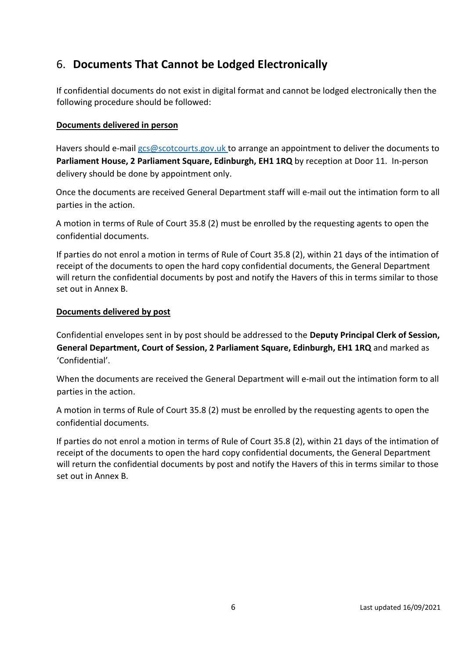## <span id="page-5-0"></span>6. **Documents That Cannot be Lodged Electronically**

If confidential documents do not exist in digital format and cannot be lodged electronically then the following procedure should be followed:

#### **Documents delivered in person**

Havers should e-mail [gcs@scotcourts.gov.uk](mailto:gcs@scotcourts.gov.uk) to arrange an appointment to deliver the documents to **Parliament House, 2 Parliament Square, Edinburgh, EH1 1RQ** by reception at Door 11. In-person delivery should be done by appointment only.

Once the documents are received General Department staff will e-mail out the intimation form to all parties in the action.

A motion in terms of Rule of Court 35.8 (2) must be enrolled by the requesting agents to open the confidential documents.

If parties do not enrol a motion in terms of Rule of Court 35.8 (2), within 21 days of the intimation of receipt of the documents to open the hard copy confidential documents, the General Department will return the confidential documents by post and notify the Havers of this in terms similar to those set out in Annex B.

#### **Documents delivered by post**

Confidential envelopes sent in by post should be addressed to the **Deputy Principal Clerk of Session, General Department, Court of Session, 2 Parliament Square, Edinburgh, EH1 1RQ** and marked as 'Confidential'.

When the documents are received the General Department will e-mail out the intimation form to all parties in the action.

A motion in terms of Rule of Court 35.8 (2) must be enrolled by the requesting agents to open the confidential documents.

If parties do not enrol a motion in terms of Rule of Court 35.8 (2), within 21 days of the intimation of receipt of the documents to open the hard copy confidential documents, the General Department will return the confidential documents by post and notify the Havers of this in terms similar to those set out in Annex B.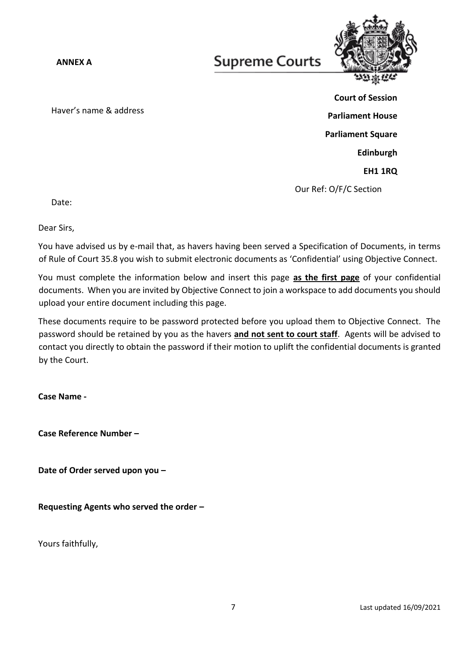**ANNEX A**

# **Supreme Courts**



Haver's name & address

**Court of Session Parliament House Parliament Square Edinburgh EH1 1RQ** Our Ref: O/F/C Section

Date:

Dear Sirs,

You have advised us by e-mail that, as havers having been served a Specification of Documents, in terms of Rule of Court 35.8 you wish to submit electronic documents as 'Confidential' using Objective Connect.

You must complete the information below and insert this page **as the first page** of your confidential documents. When you are invited by Objective Connect to join a workspace to add documents you should upload your entire document including this page.

These documents require to be password protected before you upload them to Objective Connect. The password should be retained by you as the havers **and not sent to court staff**. Agents will be advised to contact you directly to obtain the password if their motion to uplift the confidential documents is granted by the Court.

**Case Name -**

**Case Reference Number –**

**Date of Order served upon you –**

**Requesting Agents who served the order –**

Yours faithfully,